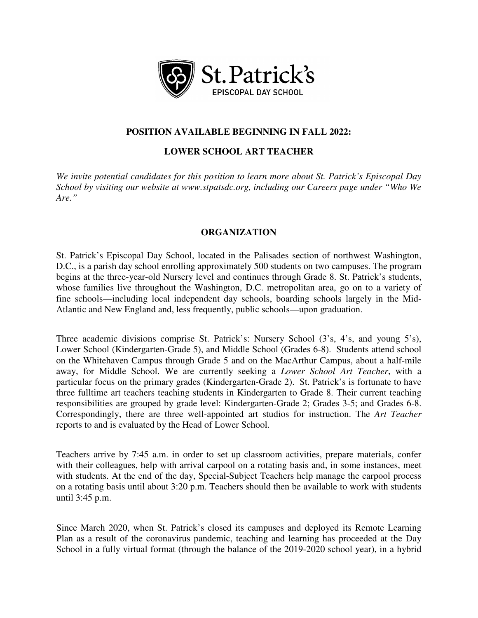

# **POSITION AVAILABLE BEGINNING IN FALL 2022:**

# **LOWER SCHOOL ART TEACHER**

*We invite potential candidates for this position to learn more about St. Patrick's Episcopal Day School by visiting our website at www.stpatsdc.org, including our Careers page under "Who We Are."*

# **ORGANIZATION**

St. Patrick's Episcopal Day School, located in the Palisades section of northwest Washington, D.C., is a parish day school enrolling approximately 500 students on two campuses. The program begins at the three-year-old Nursery level and continues through Grade 8. St. Patrick's students, whose families live throughout the Washington, D.C. metropolitan area, go on to a variety of fine schools—including local independent day schools, boarding schools largely in the Mid-Atlantic and New England and, less frequently, public schools—upon graduation.

Three academic divisions comprise St. Patrick's: Nursery School (3's, 4's, and young 5's), Lower School (Kindergarten-Grade 5), and Middle School (Grades 6-8). Students attend school on the Whitehaven Campus through Grade 5 and on the MacArthur Campus, about a half-mile away, for Middle School. We are currently seeking a *Lower School Art Teacher*, with a particular focus on the primary grades (Kindergarten-Grade 2). St. Patrick's is fortunate to have three fulltime art teachers teaching students in Kindergarten to Grade 8. Their current teaching responsibilities are grouped by grade level: Kindergarten-Grade 2; Grades 3-5; and Grades 6-8. Correspondingly, there are three well-appointed art studios for instruction. The *Art Teacher* reports to and is evaluated by the Head of Lower School.

Teachers arrive by 7:45 a.m. in order to set up classroom activities, prepare materials, confer with their colleagues, help with arrival carpool on a rotating basis and, in some instances, meet with students. At the end of the day, Special-Subject Teachers help manage the carpool process on a rotating basis until about 3:20 p.m. Teachers should then be available to work with students until 3:45 p.m.

Since March 2020, when St. Patrick's closed its campuses and deployed its Remote Learning Plan as a result of the coronavirus pandemic, teaching and learning has proceeded at the Day School in a fully virtual format (through the balance of the 2019-2020 school year), in a hybrid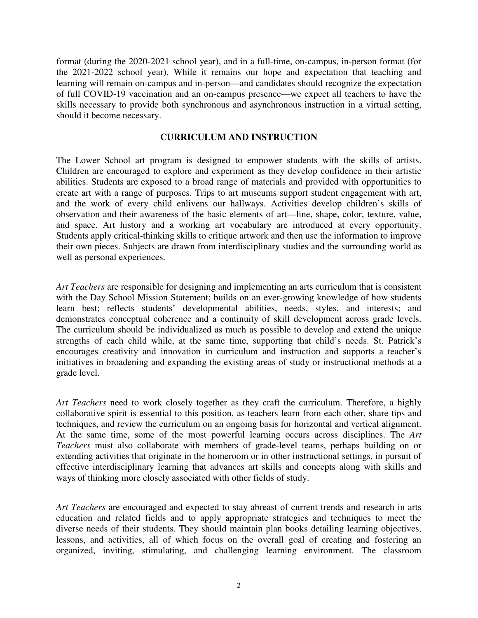format (during the 2020-2021 school year), and in a full-time, on-campus, in-person format (for the 2021-2022 school year). While it remains our hope and expectation that teaching and learning will remain on-campus and in-person—and candidates should recognize the expectation of full COVID-19 vaccination and an on-campus presence—we expect all teachers to have the skills necessary to provide both synchronous and asynchronous instruction in a virtual setting, should it become necessary.

### **CURRICULUM AND INSTRUCTION**

The Lower School art program is designed to empower students with the skills of artists. Children are encouraged to explore and experiment as they develop confidence in their artistic abilities. Students are exposed to a broad range of materials and provided with opportunities to create art with a range of purposes. Trips to art museums support student engagement with art, and the work of every child enlivens our hallways. Activities develop children's skills of observation and their awareness of the basic elements of art—line, shape, color, texture, value, and space. Art history and a working art vocabulary are introduced at every opportunity. Students apply critical-thinking skills to critique artwork and then use the information to improve their own pieces. Subjects are drawn from interdisciplinary studies and the surrounding world as well as personal experiences.

*Art Teachers* are responsible for designing and implementing an arts curriculum that is consistent with the Day School Mission Statement; builds on an ever-growing knowledge of how students learn best; reflects students' developmental abilities, needs, styles, and interests; and demonstrates conceptual coherence and a continuity of skill development across grade levels. The curriculum should be individualized as much as possible to develop and extend the unique strengths of each child while, at the same time, supporting that child's needs. St. Patrick's encourages creativity and innovation in curriculum and instruction and supports a teacher's initiatives in broadening and expanding the existing areas of study or instructional methods at a grade level.

*Art Teachers* need to work closely together as they craft the curriculum. Therefore, a highly collaborative spirit is essential to this position, as teachers learn from each other, share tips and techniques, and review the curriculum on an ongoing basis for horizontal and vertical alignment. At the same time, some of the most powerful learning occurs across disciplines. The *Art Teachers* must also collaborate with members of grade-level teams, perhaps building on or extending activities that originate in the homeroom or in other instructional settings, in pursuit of effective interdisciplinary learning that advances art skills and concepts along with skills and ways of thinking more closely associated with other fields of study.

*Art Teachers* are encouraged and expected to stay abreast of current trends and research in arts education and related fields and to apply appropriate strategies and techniques to meet the diverse needs of their students. They should maintain plan books detailing learning objectives, lessons, and activities, all of which focus on the overall goal of creating and fostering an organized, inviting, stimulating, and challenging learning environment. The classroom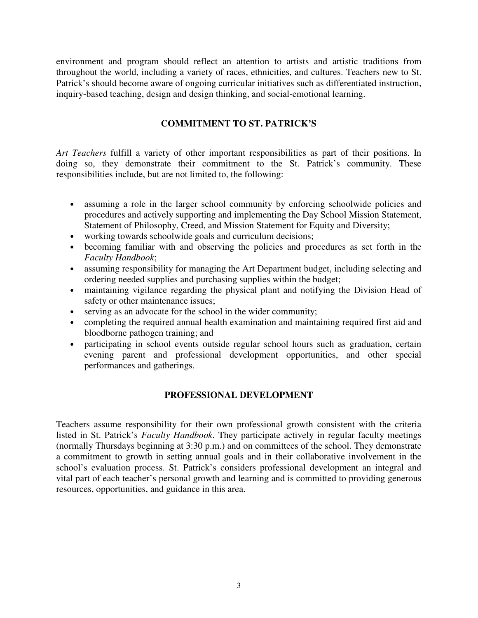environment and program should reflect an attention to artists and artistic traditions from throughout the world, including a variety of races, ethnicities, and cultures. Teachers new to St. Patrick's should become aware of ongoing curricular initiatives such as differentiated instruction, inquiry-based teaching, design and design thinking, and social-emotional learning.

# **COMMITMENT TO ST. PATRICK'S**

*Art Teachers* fulfill a variety of other important responsibilities as part of their positions. In doing so, they demonstrate their commitment to the St. Patrick's community. These responsibilities include, but are not limited to, the following:

- assuming a role in the larger school community by enforcing schoolwide policies and procedures and actively supporting and implementing the Day School Mission Statement, Statement of Philosophy, Creed, and Mission Statement for Equity and Diversity;
- working towards schoolwide goals and curriculum decisions;
- becoming familiar with and observing the policies and procedures as set forth in the *Faculty Handbook*;
- assuming responsibility for managing the Art Department budget, including selecting and ordering needed supplies and purchasing supplies within the budget;
- maintaining vigilance regarding the physical plant and notifying the Division Head of safety or other maintenance issues;
- serving as an advocate for the school in the wider community;
- completing the required annual health examination and maintaining required first aid and bloodborne pathogen training; and
- participating in school events outside regular school hours such as graduation, certain evening parent and professional development opportunities, and other special performances and gatherings.

# **PROFESSIONAL DEVELOPMENT**

Teachers assume responsibility for their own professional growth consistent with the criteria listed in St. Patrick's *Faculty Handbook*. They participate actively in regular faculty meetings (normally Thursdays beginning at 3:30 p.m.) and on committees of the school. They demonstrate a commitment to growth in setting annual goals and in their collaborative involvement in the school's evaluation process. St. Patrick's considers professional development an integral and vital part of each teacher's personal growth and learning and is committed to providing generous resources, opportunities, and guidance in this area.